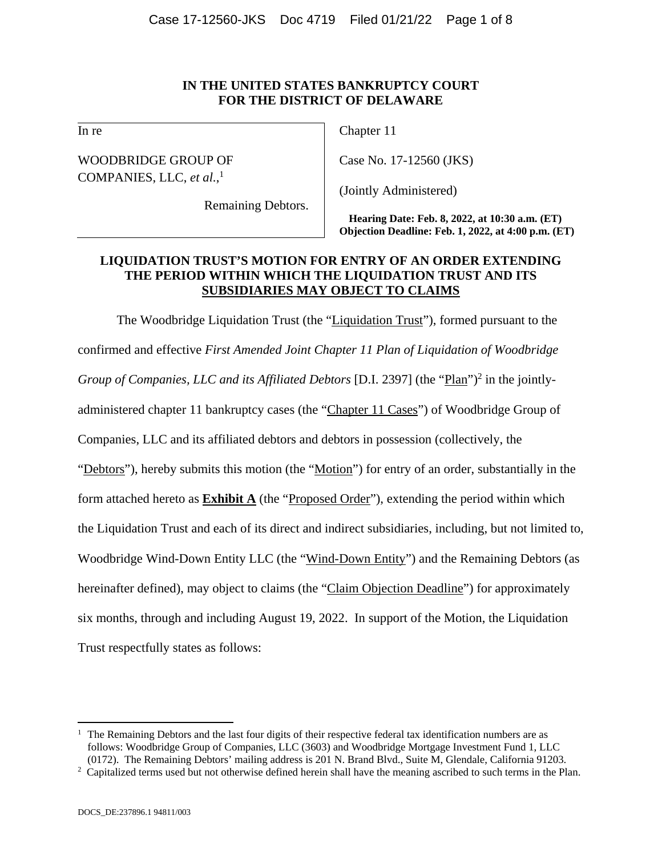# **IN THE UNITED STATES BANKRUPTCY COURT FOR THE DISTRICT OF DELAWARE**

In re

WOODBRIDGE GROUP OF COMPANIES, LLC, *et al.*, 1

Remaining Debtors.

Chapter 11

Case No. 17-12560 (JKS)

(Jointly Administered)

**Hearing Date: Feb. 8, 2022, at 10:30 a.m. (ET) Objection Deadline: Feb. 1, 2022, at 4:00 p.m. (ET)** 

# **LIQUIDATION TRUST'S MOTION FOR ENTRY OF AN ORDER EXTENDING THE PERIOD WITHIN WHICH THE LIQUIDATION TRUST AND ITS SUBSIDIARIES MAY OBJECT TO CLAIMS**

The Woodbridge Liquidation Trust (the "Liquidation Trust"), formed pursuant to the confirmed and effective *First Amended Joint Chapter 11 Plan of Liquidation of Woodbridge*  Group of Companies, LLC and its Affiliated Debtors [D.I. 2397] (the "Plan")<sup>2</sup> in the jointlyadministered chapter 11 bankruptcy cases (the "Chapter 11 Cases") of Woodbridge Group of Companies, LLC and its affiliated debtors and debtors in possession (collectively, the "Debtors"), hereby submits this motion (the "Motion") for entry of an order, substantially in the form attached hereto as **Exhibit A** (the "Proposed Order"), extending the period within which the Liquidation Trust and each of its direct and indirect subsidiaries, including, but not limited to, Woodbridge Wind-Down Entity LLC (the "Wind-Down Entity") and the Remaining Debtors (as hereinafter defined), may object to claims (the "Claim Objection Deadline") for approximately six months, through and including August 19, 2022. In support of the Motion, the Liquidation Trust respectfully states as follows:

 $\overline{a}$ 

 $<sup>1</sup>$  The Remaining Debtors and the last four digits of their respective federal tax identification numbers are as</sup> follows: Woodbridge Group of Companies, LLC (3603) and Woodbridge Mortgage Investment Fund 1, LLC (0172). The Remaining Debtors' mailing address is 201 N. Brand Blvd., Suite M, Glendale, California 91203. 2

<sup>&</sup>lt;sup>2</sup> Capitalized terms used but not otherwise defined herein shall have the meaning ascribed to such terms in the Plan.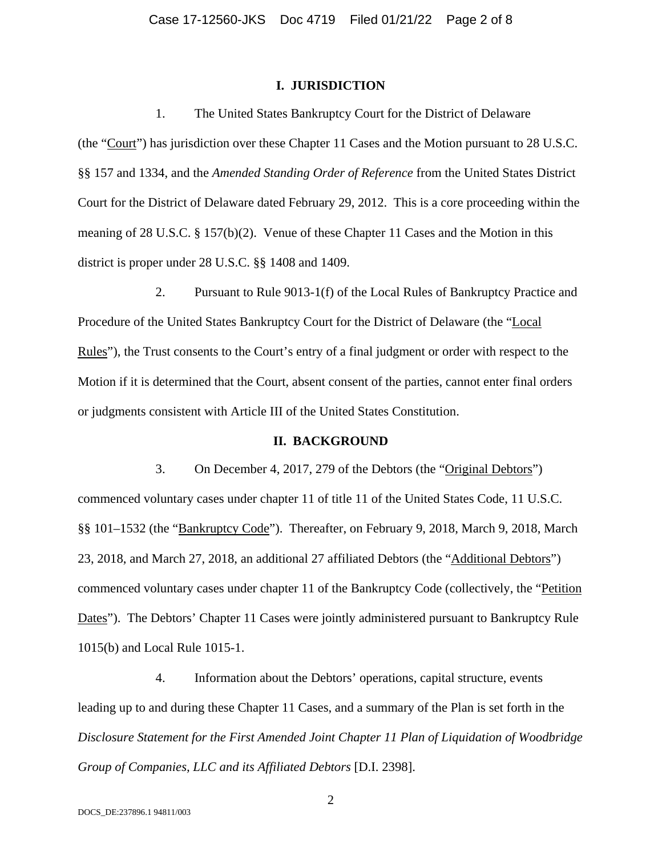#### **I. JURISDICTION**

1. The United States Bankruptcy Court for the District of Delaware

(the "Court") has jurisdiction over these Chapter 11 Cases and the Motion pursuant to 28 U.S.C. §§ 157 and 1334, and the *Amended Standing Order of Reference* from the United States District Court for the District of Delaware dated February 29, 2012. This is a core proceeding within the meaning of 28 U.S.C. § 157(b)(2). Venue of these Chapter 11 Cases and the Motion in this district is proper under 28 U.S.C. §§ 1408 and 1409.

2. Pursuant to Rule 9013-1(f) of the Local Rules of Bankruptcy Practice and Procedure of the United States Bankruptcy Court for the District of Delaware (the "Local Rules"), the Trust consents to the Court's entry of a final judgment or order with respect to the Motion if it is determined that the Court, absent consent of the parties, cannot enter final orders or judgments consistent with Article III of the United States Constitution.

### **II. BACKGROUND**

3. On December 4, 2017, 279 of the Debtors (the "Original Debtors") commenced voluntary cases under chapter 11 of title 11 of the United States Code, 11 U.S.C. §§ 101–1532 (the "Bankruptcy Code"). Thereafter, on February 9, 2018, March 9, 2018, March 23, 2018, and March 27, 2018, an additional 27 affiliated Debtors (the "Additional Debtors") commenced voluntary cases under chapter 11 of the Bankruptcy Code (collectively, the "Petition Dates"). The Debtors' Chapter 11 Cases were jointly administered pursuant to Bankruptcy Rule 1015(b) and Local Rule 1015-1.

4. Information about the Debtors' operations, capital structure, events leading up to and during these Chapter 11 Cases, and a summary of the Plan is set forth in the *Disclosure Statement for the First Amended Joint Chapter 11 Plan of Liquidation of Woodbridge Group of Companies, LLC and its Affiliated Debtors* [D.I. 2398].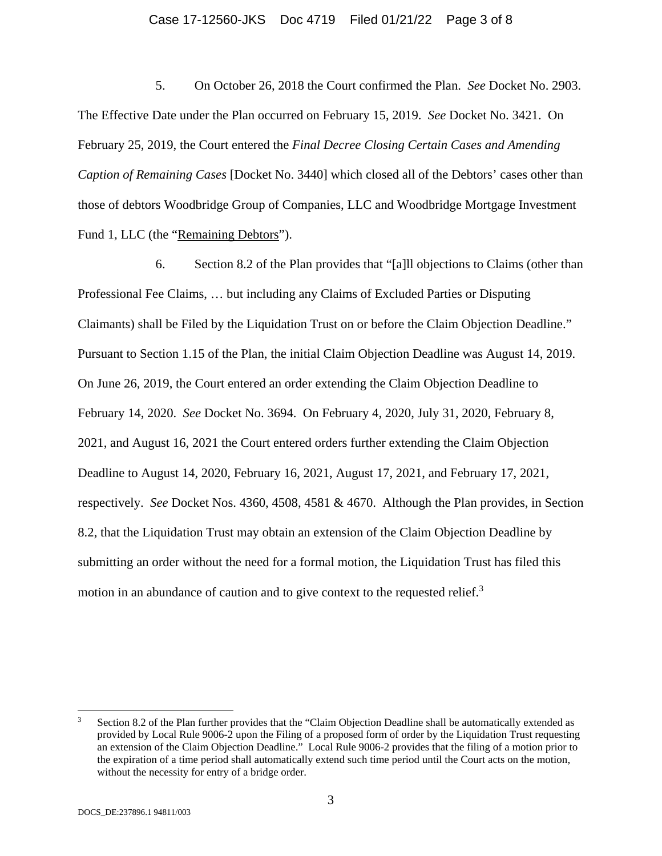# Case 17-12560-JKS Doc 4719 Filed 01/21/22 Page 3 of 8

5. On October 26, 2018 the Court confirmed the Plan. *See* Docket No. 2903. The Effective Date under the Plan occurred on February 15, 2019. *See* Docket No. 3421. On February 25, 2019, the Court entered the *Final Decree Closing Certain Cases and Amending Caption of Remaining Cases* [Docket No. 3440] which closed all of the Debtors' cases other than those of debtors Woodbridge Group of Companies, LLC and Woodbridge Mortgage Investment Fund 1, LLC (the "Remaining Debtors").

6. Section 8.2 of the Plan provides that "[a]ll objections to Claims (other than Professional Fee Claims, … but including any Claims of Excluded Parties or Disputing Claimants) shall be Filed by the Liquidation Trust on or before the Claim Objection Deadline." Pursuant to Section 1.15 of the Plan, the initial Claim Objection Deadline was August 14, 2019. On June 26, 2019, the Court entered an order extending the Claim Objection Deadline to February 14, 2020. *See* Docket No. 3694. On February 4, 2020, July 31, 2020, February 8, 2021, and August 16, 2021 the Court entered orders further extending the Claim Objection Deadline to August 14, 2020, February 16, 2021, August 17, 2021, and February 17, 2021, respectively. *See* Docket Nos. 4360, 4508, 4581 & 4670. Although the Plan provides, in Section 8.2, that the Liquidation Trust may obtain an extension of the Claim Objection Deadline by submitting an order without the need for a formal motion, the Liquidation Trust has filed this motion in an abundance of caution and to give context to the requested relief.<sup>3</sup>

 $\overline{a}$ 

<sup>3</sup> Section 8.2 of the Plan further provides that the "Claim Objection Deadline shall be automatically extended as provided by Local Rule 9006-2 upon the Filing of a proposed form of order by the Liquidation Trust requesting an extension of the Claim Objection Deadline." Local Rule 9006-2 provides that the filing of a motion prior to the expiration of a time period shall automatically extend such time period until the Court acts on the motion, without the necessity for entry of a bridge order.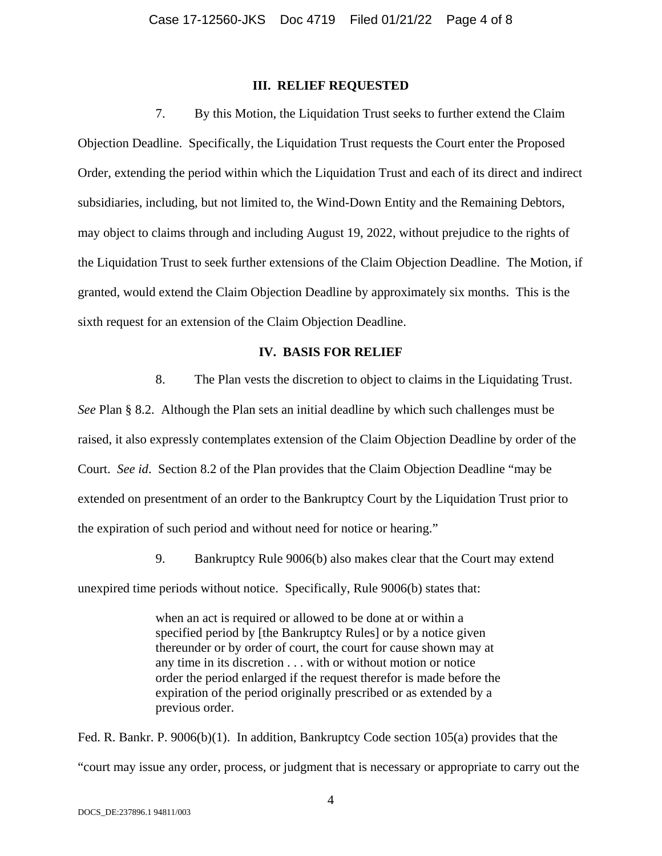#### **III. RELIEF REQUESTED**

7. By this Motion, the Liquidation Trust seeks to further extend the Claim Objection Deadline. Specifically, the Liquidation Trust requests the Court enter the Proposed Order, extending the period within which the Liquidation Trust and each of its direct and indirect subsidiaries, including, but not limited to, the Wind-Down Entity and the Remaining Debtors, may object to claims through and including August 19, 2022, without prejudice to the rights of the Liquidation Trust to seek further extensions of the Claim Objection Deadline. The Motion, if granted, would extend the Claim Objection Deadline by approximately six months. This is the sixth request for an extension of the Claim Objection Deadline.

#### **IV. BASIS FOR RELIEF**

8. The Plan vests the discretion to object to claims in the Liquidating Trust.

*See* Plan § 8.2. Although the Plan sets an initial deadline by which such challenges must be raised, it also expressly contemplates extension of the Claim Objection Deadline by order of the Court. *See id*. Section 8.2 of the Plan provides that the Claim Objection Deadline "may be extended on presentment of an order to the Bankruptcy Court by the Liquidation Trust prior to the expiration of such period and without need for notice or hearing."

9. Bankruptcy Rule 9006(b) also makes clear that the Court may extend

unexpired time periods without notice. Specifically, Rule 9006(b) states that:

when an act is required or allowed to be done at or within a specified period by [the Bankruptcy Rules] or by a notice given thereunder or by order of court, the court for cause shown may at any time in its discretion . . . with or without motion or notice order the period enlarged if the request therefor is made before the expiration of the period originally prescribed or as extended by a previous order.

Fed. R. Bankr. P. 9006(b)(1). In addition, Bankruptcy Code section 105(a) provides that the "court may issue any order, process, or judgment that is necessary or appropriate to carry out the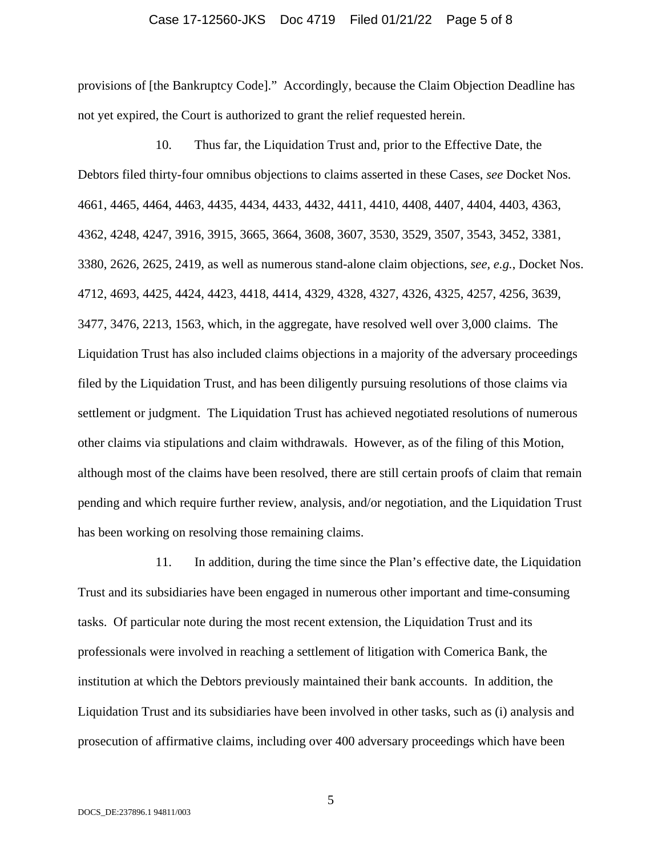#### Case 17-12560-JKS Doc 4719 Filed 01/21/22 Page 5 of 8

provisions of [the Bankruptcy Code]." Accordingly, because the Claim Objection Deadline has not yet expired, the Court is authorized to grant the relief requested herein.

10. Thus far, the Liquidation Trust and, prior to the Effective Date, the Debtors filed thirty-four omnibus objections to claims asserted in these Cases, *see* Docket Nos. 4661, 4465, 4464, 4463, 4435, 4434, 4433, 4432, 4411, 4410, 4408, 4407, 4404, 4403, 4363, 4362, 4248, 4247, 3916, 3915, 3665, 3664, 3608, 3607, 3530, 3529, 3507, 3543, 3452, 3381, 3380, 2626, 2625, 2419, as well as numerous stand-alone claim objections, *see, e.g.*, Docket Nos. 4712, 4693, 4425, 4424, 4423, 4418, 4414, 4329, 4328, 4327, 4326, 4325, 4257, 4256, 3639, 3477, 3476, 2213, 1563, which, in the aggregate, have resolved well over 3,000 claims. The Liquidation Trust has also included claims objections in a majority of the adversary proceedings filed by the Liquidation Trust, and has been diligently pursuing resolutions of those claims via settlement or judgment. The Liquidation Trust has achieved negotiated resolutions of numerous other claims via stipulations and claim withdrawals. However, as of the filing of this Motion, although most of the claims have been resolved, there are still certain proofs of claim that remain pending and which require further review, analysis, and/or negotiation, and the Liquidation Trust has been working on resolving those remaining claims.

11. In addition, during the time since the Plan's effective date, the Liquidation Trust and its subsidiaries have been engaged in numerous other important and time-consuming tasks. Of particular note during the most recent extension, the Liquidation Trust and its professionals were involved in reaching a settlement of litigation with Comerica Bank, the institution at which the Debtors previously maintained their bank accounts. In addition, the Liquidation Trust and its subsidiaries have been involved in other tasks, such as (i) analysis and prosecution of affirmative claims, including over 400 adversary proceedings which have been

5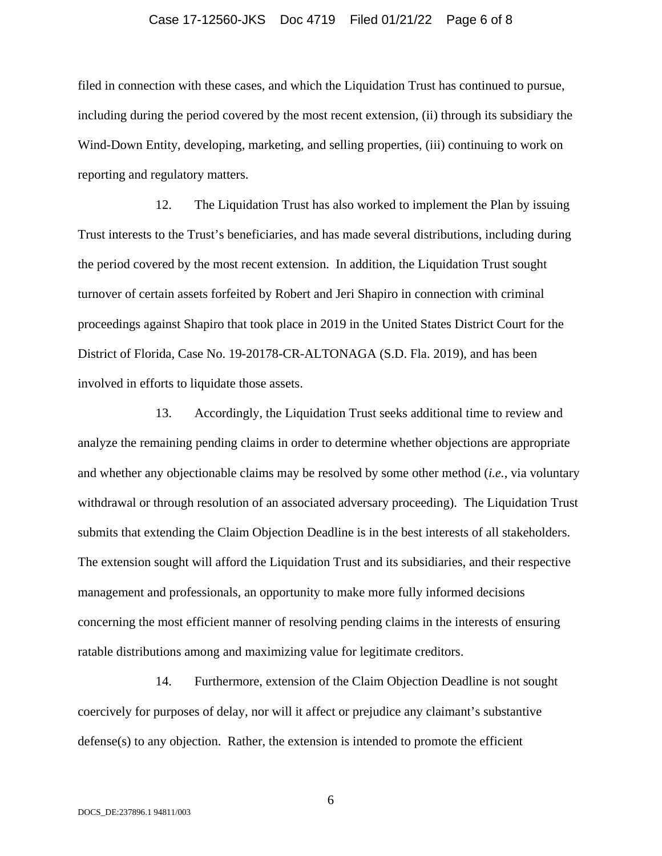#### Case 17-12560-JKS Doc 4719 Filed 01/21/22 Page 6 of 8

filed in connection with these cases, and which the Liquidation Trust has continued to pursue, including during the period covered by the most recent extension, (ii) through its subsidiary the Wind-Down Entity, developing, marketing, and selling properties, (iii) continuing to work on reporting and regulatory matters.

12. The Liquidation Trust has also worked to implement the Plan by issuing Trust interests to the Trust's beneficiaries, and has made several distributions, including during the period covered by the most recent extension. In addition, the Liquidation Trust sought turnover of certain assets forfeited by Robert and Jeri Shapiro in connection with criminal proceedings against Shapiro that took place in 2019 in the United States District Court for the District of Florida, Case No. 19-20178-CR-ALTONAGA (S.D. Fla. 2019), and has been involved in efforts to liquidate those assets.

13. Accordingly, the Liquidation Trust seeks additional time to review and analyze the remaining pending claims in order to determine whether objections are appropriate and whether any objectionable claims may be resolved by some other method (*i.e.*, via voluntary withdrawal or through resolution of an associated adversary proceeding). The Liquidation Trust submits that extending the Claim Objection Deadline is in the best interests of all stakeholders. The extension sought will afford the Liquidation Trust and its subsidiaries, and their respective management and professionals, an opportunity to make more fully informed decisions concerning the most efficient manner of resolving pending claims in the interests of ensuring ratable distributions among and maximizing value for legitimate creditors.

14. Furthermore, extension of the Claim Objection Deadline is not sought coercively for purposes of delay, nor will it affect or prejudice any claimant's substantive defense(s) to any objection. Rather, the extension is intended to promote the efficient

6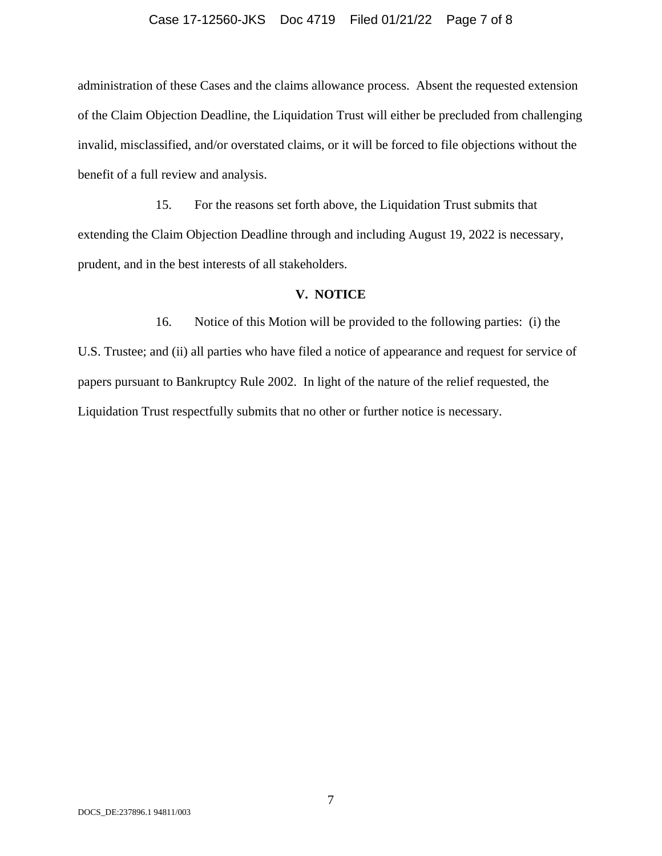#### Case 17-12560-JKS Doc 4719 Filed 01/21/22 Page 7 of 8

administration of these Cases and the claims allowance process. Absent the requested extension of the Claim Objection Deadline, the Liquidation Trust will either be precluded from challenging invalid, misclassified, and/or overstated claims, or it will be forced to file objections without the benefit of a full review and analysis.

15. For the reasons set forth above, the Liquidation Trust submits that extending the Claim Objection Deadline through and including August 19, 2022 is necessary, prudent, and in the best interests of all stakeholders.

#### **V. NOTICE**

16. Notice of this Motion will be provided to the following parties: (i) the U.S. Trustee; and (ii) all parties who have filed a notice of appearance and request for service of papers pursuant to Bankruptcy Rule 2002. In light of the nature of the relief requested, the Liquidation Trust respectfully submits that no other or further notice is necessary.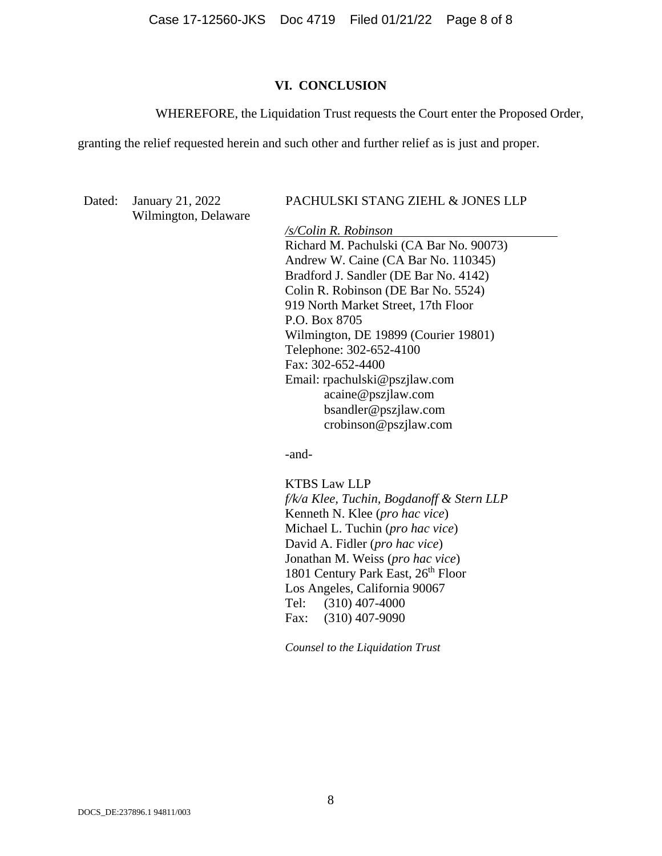Case 17-12560-JKS Doc 4719 Filed 01/21/22 Page 8 of 8

#### **VI. CONCLUSION**

WHEREFORE, the Liquidation Trust requests the Court enter the Proposed Order,

granting the relief requested herein and such other and further relief as is just and proper.

Wilmington, Delaware

Dated: January 21, 2022 PACHULSKI STANG ZIEHL & JONES LLP

*/s/Colin R. Robinson*  Richard M. Pachulski (CA Bar No. 90073) Andrew W. Caine (CA Bar No. 110345) Bradford J. Sandler (DE Bar No. 4142) Colin R. Robinson (DE Bar No. 5524) 919 North Market Street, 17th Floor P.O. Box 8705 Wilmington, DE 19899 (Courier 19801) Telephone: 302-652-4100 Fax: 302-652-4400 Email: rpachulski@pszjlaw.com acaine@pszjlaw.com bsandler@pszjlaw.com crobinson@pszjlaw.com

-and-

 KTBS Law LLP *f/k/a Klee, Tuchin, Bogdanoff & Stern LLP*  Kenneth N. Klee (*pro hac vice*) Michael L. Tuchin (*pro hac vice*) David A. Fidler (*pro hac vice*) Jonathan M. Weiss (*pro hac vice*) 1801 Century Park East, 26<sup>th</sup> Floor Los Angeles, California 90067 Tel: (310) 407-4000 Fax: (310) 407-9090

*Counsel to the Liquidation Trust*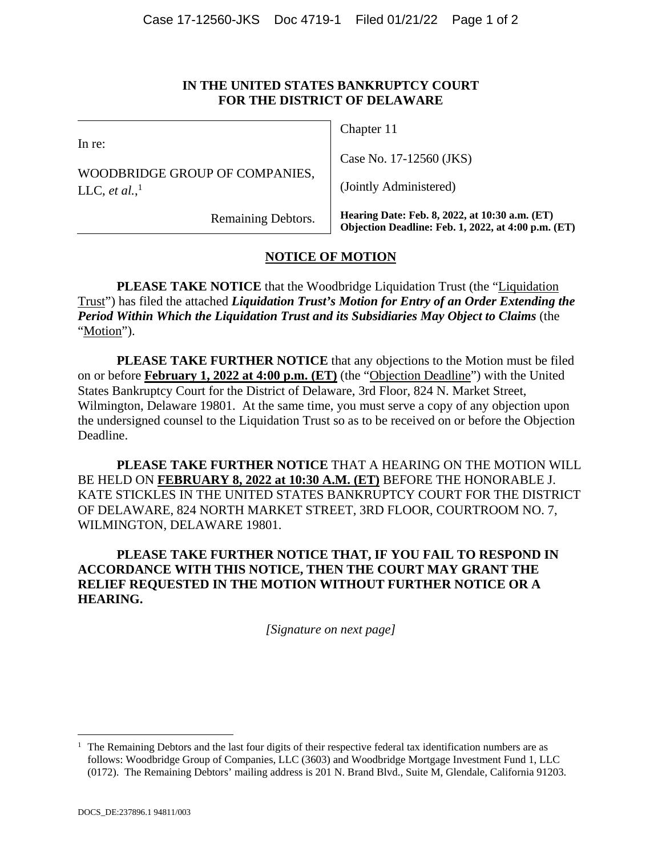# **IN THE UNITED STATES BANKRUPTCY COURT FOR THE DISTRICT OF DELAWARE**

| Remaining Debtors.                                          | Hearing Date: Feb. 8, 2022, at 10:30 a.m. (ET)<br>Objection Deadline: Feb. 1, 2022, at 4:00 p.m. (ET) |
|-------------------------------------------------------------|-------------------------------------------------------------------------------------------------------|
| WOODBRIDGE GROUP OF COMPANIES,<br>LLC, et al., <sup>1</sup> | (Jointly Administered)                                                                                |
| In re:                                                      | Case No. 17-12560 (JKS)                                                                               |
|                                                             | Chapter 11                                                                                            |

# **NOTICE OF MOTION**

**PLEASE TAKE NOTICE** that the Woodbridge Liquidation Trust (the "Liquidation Trust") has filed the attached *Liquidation Trust's Motion for Entry of an Order Extending the Period Within Which the Liquidation Trust and its Subsidiaries May Object to Claims* (the "Motion").

**PLEASE TAKE FURTHER NOTICE** that any objections to the Motion must be filed on or before **February 1, 2022 at 4:00 p.m. (ET)** (the "Objection Deadline") with the United States Bankruptcy Court for the District of Delaware, 3rd Floor, 824 N. Market Street, Wilmington, Delaware 19801. At the same time, you must serve a copy of any objection upon the undersigned counsel to the Liquidation Trust so as to be received on or before the Objection Deadline.

**PLEASE TAKE FURTHER NOTICE** THAT A HEARING ON THE MOTION WILL BE HELD ON **FEBRUARY 8, 2022 at 10:30 A.M. (ET)** BEFORE THE HONORABLE J. KATE STICKLES IN THE UNITED STATES BANKRUPTCY COURT FOR THE DISTRICT OF DELAWARE, 824 NORTH MARKET STREET, 3RD FLOOR, COURTROOM NO. 7, WILMINGTON, DELAWARE 19801.

**PLEASE TAKE FURTHER NOTICE THAT, IF YOU FAIL TO RESPOND IN ACCORDANCE WITH THIS NOTICE, THEN THE COURT MAY GRANT THE RELIEF REQUESTED IN THE MOTION WITHOUT FURTHER NOTICE OR A HEARING.** 

*[Signature on next page]* 

 $\overline{a}$ 

<sup>&</sup>lt;sup>1</sup> The Remaining Debtors and the last four digits of their respective federal tax identification numbers are as follows: Woodbridge Group of Companies, LLC (3603) and Woodbridge Mortgage Investment Fund 1, LLC (0172). The Remaining Debtors' mailing address is 201 N. Brand Blvd., Suite M, Glendale, California 91203.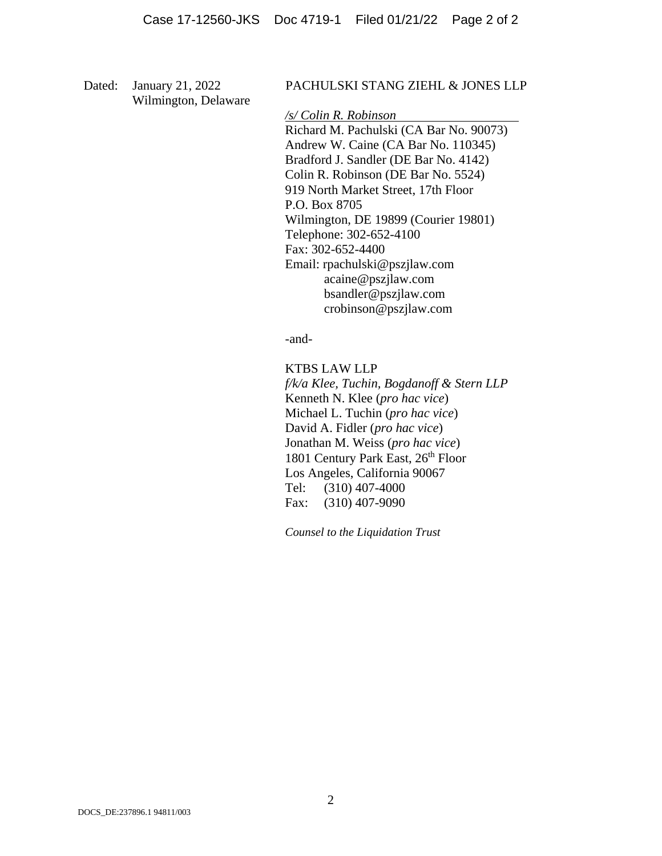Wilmington, Delaware

#### Dated: January 21, 2022 PACHULSKI STANG ZIEHL & JONES LLP

*/s/ Colin R. Robinson* 

 Richard M. Pachulski (CA Bar No. 90073) Andrew W. Caine (CA Bar No. 110345) Bradford J. Sandler (DE Bar No. 4142) Colin R. Robinson (DE Bar No. 5524) 919 North Market Street, 17th Floor P.O. Box 8705 Wilmington, DE 19899 (Courier 19801) Telephone: 302-652-4100 Fax: 302-652-4400 Email: rpachulski@pszjlaw.com acaine@pszjlaw.com bsandler@pszjlaw.com crobinson@pszjlaw.com

-and-

KTBS LAW LLP

*f/k/a Klee, Tuchin, Bogdanoff & Stern LLP*  Kenneth N. Klee (*pro hac vice*) Michael L. Tuchin (*pro hac vice*) David A. Fidler (*pro hac vice*) Jonathan M. Weiss (*pro hac vice*) 1801 Century Park East, 26<sup>th</sup> Floor Los Angeles, California 90067 Tel: (310) 407-4000 Fax: (310) 407-9090

*Counsel to the Liquidation Trust*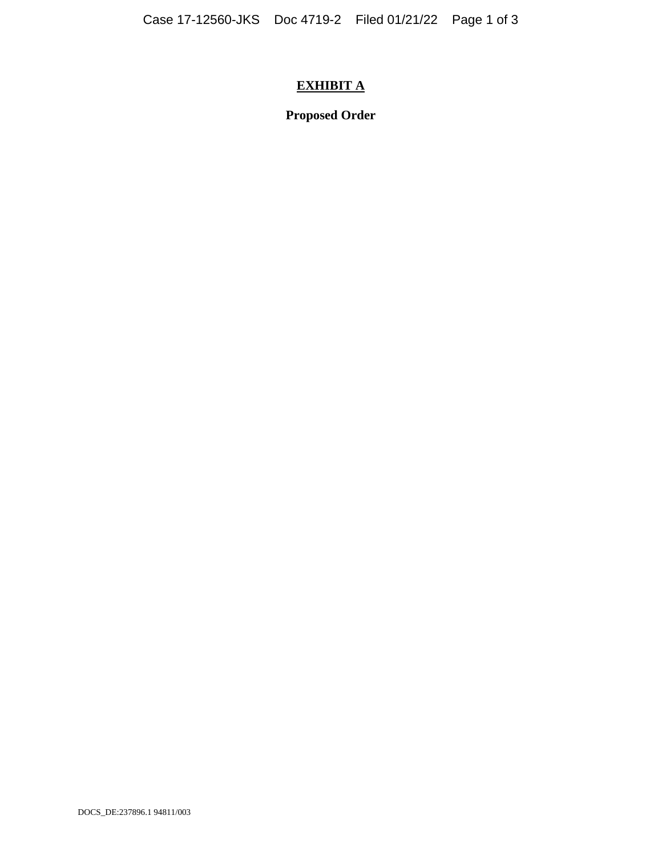# **EXHIBIT A**

**Proposed Order**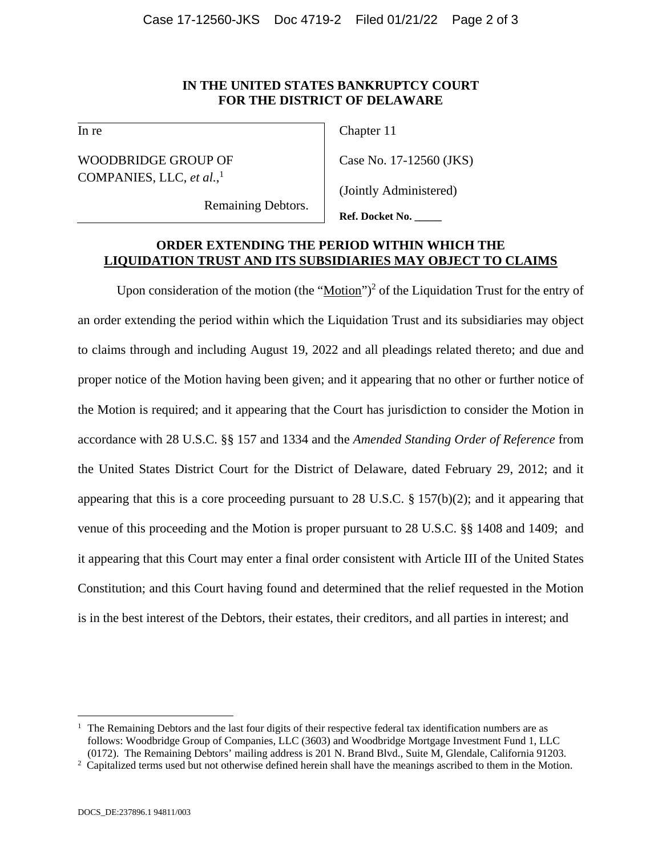# **IN THE UNITED STATES BANKRUPTCY COURT FOR THE DISTRICT OF DELAWARE**

In re

WOODBRIDGE GROUP OF COMPANIES, LLC, *et al.*, 1

Chapter 11

Case No. 17-12560 (JKS)

(Jointly Administered)

Remaining Debtors.

**Ref. Docket No. \_\_\_\_\_**

# **ORDER EXTENDING THE PERIOD WITHIN WHICH THE LIQUIDATION TRUST AND ITS SUBSIDIARIES MAY OBJECT TO CLAIMS**

Upon consideration of the motion (the " $Motion$ ")<sup>2</sup> of the Liquidation Trust for the entry of</u> an order extending the period within which the Liquidation Trust and its subsidiaries may object to claims through and including August 19, 2022 and all pleadings related thereto; and due and proper notice of the Motion having been given; and it appearing that no other or further notice of the Motion is required; and it appearing that the Court has jurisdiction to consider the Motion in accordance with 28 U.S.C. §§ 157 and 1334 and the *Amended Standing Order of Reference* from the United States District Court for the District of Delaware, dated February 29, 2012; and it appearing that this is a core proceeding pursuant to 28 U.S.C. § 157(b)(2); and it appearing that venue of this proceeding and the Motion is proper pursuant to 28 U.S.C. §§ 1408 and 1409; and it appearing that this Court may enter a final order consistent with Article III of the United States Constitution; and this Court having found and determined that the relief requested in the Motion is in the best interest of the Debtors, their estates, their creditors, and all parties in interest; and

 $\overline{a}$ 1 The Remaining Debtors and the last four digits of their respective federal tax identification numbers are as follows: Woodbridge Group of Companies, LLC (3603) and Woodbridge Mortgage Investment Fund 1, LLC (0172). The Remaining Debtors' mailing address is 201 N. Brand Blvd., Suite M, Glendale, California 91203. 2

 $2 \text{ Capitalized terms used but not otherwise defined herein shall have the meanings ascribed to them in the Motion.}$